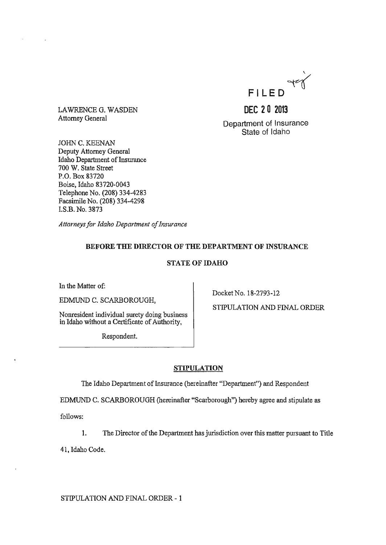

LAWRENCE G. WASDEN Attorney General

**DEC 20 2013**  Department of Insurance

State of Idaho

JOHN C. KEENAN Deputy Attorney General Idaho Department of Insurance 700 W. State Street P.O. Box 83720 Boise, Idaho 83720-0043 Telephone No. (208) 334-4283 Facsimile No. (208) 334-4298 LS.B. No. 3873

*Attorneys for Idaho Department of Insurance* 

# BEFORE THE DIRECTOR OF THE DEPARTMENT OF INSURANCE

## STATE OF IDAHO

In the Matter of:

EDMUND C. SCARBOROUGH,

Nonresident individual surety doing business in Idaho without a Certificate of Authority,

Respondent.

Docket No. 18-2793-12

STIPULATION AND FINAL ORDER

## STIPULATION

The Idaho Department of Insurance (hereinafter "Department") and Respondent

EDMUND C. SCARBOROUGH (hereinafter "Scarborough") hereby agree and stipulate as

follows:

1. The Director of the Department has jurisdiction over this matter pursuant to Title

41, Idaho Code.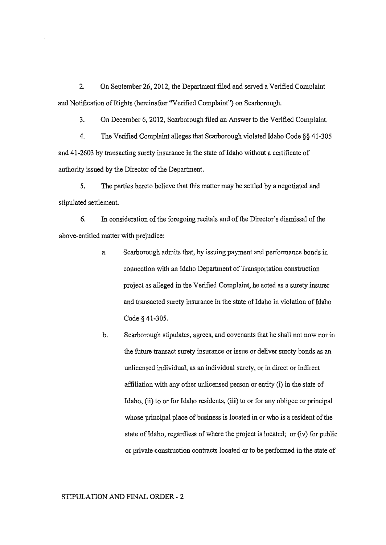2. On September 26,2012, the Department fIled and served a Verified Complaint and Notification of Rights (hereinafter "Verified Complaint") on Scarborough.

3. On December 6, 2012, Scarborough flled an Answer to the Verified Complaint.

4. The Verified Complaint alleges that Scarborough violated Idaho Code §§ 41·305 and 41-2603 by transacting surety insurance in the state of Idaho without a certificate of authority issued by the Director of the Department.

5. The parties hereto believe that this matter may be settled by a negotiated and stipulated settlement.

6. In consideration ofthe foregoing recitals and of the Director's dismissal of the above-entitled matter with prejudice:

- a. Scarborough admits that, by issuing payment and performance bonds in connection with an Idaho Department of Transportation construction project as alleged in the VerifIed Complaint, he acted as a surety insurer and transacted surety insurance in the state of Idaho in violation of Idaho Code § 41·305.
- b. Scarborough stipulates, agrees, and covenants that he shall not now nor in the future transact surety insurance or issue or deliver surety bonds as an unlicensed individual, as an individual surety, or in direct or indirect affiliation with any other unlicensed person or entity (i) in the state of Idaho, (ii) to or for Idaho residents, (iii) to or for any obligee or principal whose principal place of business is located in or who is a resident of the state of Idaho, regardless of where the project is located; or (iv) for public or private construction contracts located or to be perfonned in the state of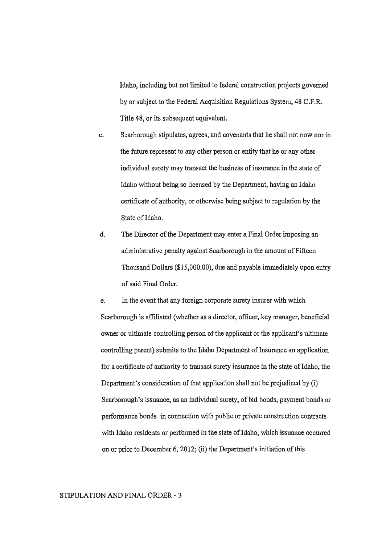Idaho, including but not limited to federal construction projects governed by or subject to the Federal Acquisition Regulations System. 48 C.F.R. Title 48, or its subsequent equivalent.

- c. Scarborough stipulates, agrees, and covenants that he shall not now nor in the future represent to any other person or entity that he or any other individual surety may transact the business of insurance in the state of Idaho without being so licensed by the Department, having an Idaho certificate of authority, or otherwise being subject to regulation by the State of Idaho.
- d. The Director of the Department may enter a Final Order imposing an administrative penalty against Scarborough in the amount of Fifteen Thousand Dollars (\$15,000.00). due and payable immediately upon entry of said Final Order.

e. In the event that any foreign corporate surety insurer with which Scarborough is afflliated (whether as a director, officer, key manager, beneficial owner or ultimate controlling person of the applicant or the applicant's ultimate controlling parent) submits to the Idaho Department of Insurance an application for a certificate of authority to transact surety insurance in the state of Idaho, the Department's consideration of that application shall not be prejudiced by (i) Scarborough's issuance, as an individual surety, of bid bonds, payment bonds or performance bonds in connection with public or private construction contracts with Idaho residents or performed in the state of Idaho, which issuance occurred on or prior to December 6,2012; (ii) the Department's initiation of this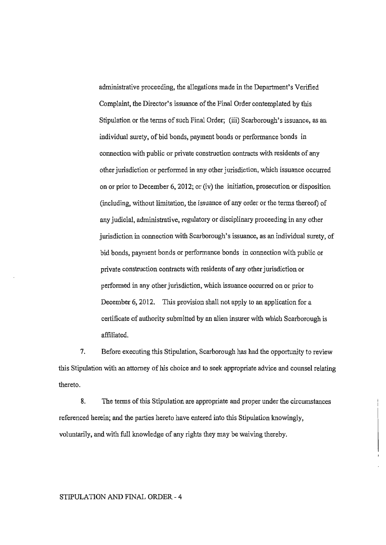administrative proceeding, the allegations made in the Department's Verified Complaint, the Director's issuance of the Final Order contemplated by this Stipulation or the terms of such Final Order; (iii) Scarborough's issuance, as an individual surety, of bid bonds, payment bonds or performance bonds in connection with public or private construction contracts with residents of any other jurisdiction or performed in any other jurisdiction, which issuance occurred on or prior to December 6, 2012; or (iv) the initiation, prosecution or disposition (including, without limitation, the issuance of any order or the terms thereot) of any judicial, administrative, regulatory or disciplinary proceeding in any other jurisdiction in connection with Scarborough's issuance, as an individual surety, of bid bonds, payment bonds or perfonnance bonds in connection with public or private construction contracts with residents of any other jurisdiction or performed in any other jurisdiction, which issuance occurred on or prior to December 6, 2012. This provision shall not apply to an application for a certificate of authority submitted by an alien insurer with which Scarborough is affiliated.

7. Before executing this Stipulation, Scarborough has had the opportunity to review this Stipulation with an attorney of his choice and to seek appropriate advice and counsel relating thereto.

8. The terms of this Stipulation are appropriate and proper under the circumstances referenced herein; and the parties hereto have entered into this Stipulation knowingly, voluntarily, and with full knowledge of any rights they may be waiving thereby.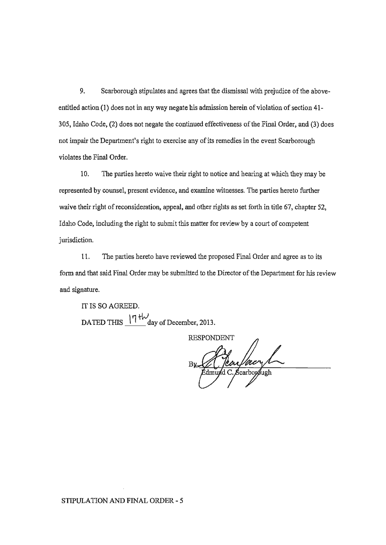9. Scarborough stipulates and agrees that the dismissal with prejudice of the aboveentitled action (1) does not in any way negate his admission herein of violation of section 41-305, Idaho Code, (2) does not negate the continued effectiveness of the Final Order, and (3) does not impair the Department's right to exercise any of its remedies in the event Scarborough violates the Final Order.

10. The parties hereto waive their right to notice and hearing at which they may be represented by counsel, present evidence, and examine witnesses. The parties hereto further waive their right of reconsideration, appeal, and other rights as set forth in title 67, chapter 52, Idaho Code, including the right to submit this matter for review by a court of competent jurisdiction.

11. The parties hereto have reviewed the proposed Final Order and agree as to its form and that said Final Order may be submitted to the Director of the Department for his review and signature.

IT IS SO AGREED. DATED THIS  $\frac{17 \text{ H}\cdot\text{J}}{4}$  day of December, 2013.

**RESPONDENT** d C. Scarborough

STIPULATION AND FINAL ORDER - 5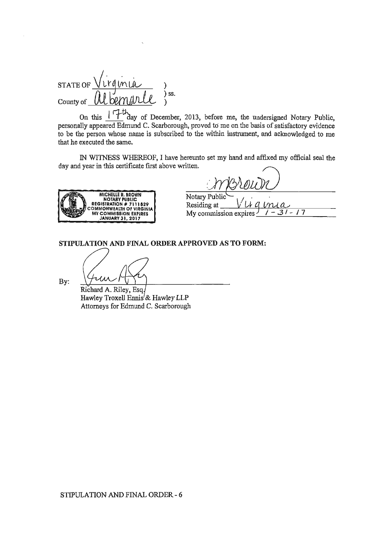$STATEOFVVVq$ )<br>) ss. County of

If  $\mathcal{F}_{\text{day of December, 2013, before me, the undersigned Notary Public.}$ personally appeared Edmund C. Scarborough, proved to me on the basis of satisfactory evidence to be the person whose name is subscribed to the within instrument, and acknowledged to me that he executed the same.

IN WITNESS WHEREOF, I have hereunto set my hand and affixed my official seal the day and year in this certificate first above written.



|                | merour |  |
|----------------|--------|--|
| Notary Public` |        |  |
| Residing at    |        |  |

My commission expires  $\frac{1}{2}$   $\frac{1}{2}$  -  $\frac{1}{2}$ 

STIPULATION AND FINAL ORDER APPROVED AS TO FORM:

By:

Richard A. Riley, Esq Hawley Troxell Ennis'& Hawley LLP Attorneys for Edmund C. Scarborough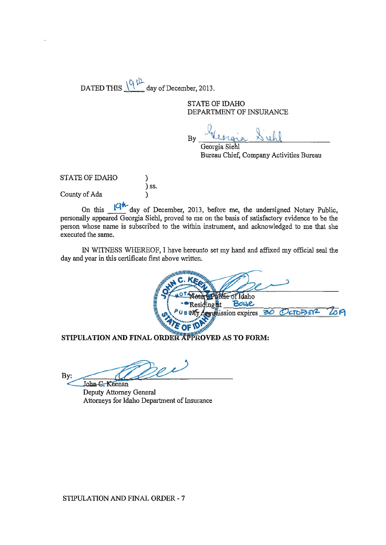DATED THIS  $\sqrt{9}$  th day of December, 2013.

STATE OF IDAHO DEPARTMENT OF INSURANCE

By beingia Sichl

Georgia Siehl Bureau Chief, Company Activities Bureau

STATE OF IDAHO ) ) ss. County of Ada )

On this  $\sqrt{4\pi}$  day of December, 2013, before me, the undersigned Notary Public, personally appeared Georgia Siehl, proved to me on the basis of satisfactory evidence to be the person whose name is subscribed to the within instrument, and acknowledged to me that she executed the same.

IN WITNESS WHEREOF, I have hereunto set my hand and affixed my official seal the day and year in this certificate first above written.

~\",\\lIIIIII/"'1111. ~'I. C ~II~ ~..!... z ~~~ **.......** ~ ~ ~'"':.... **....** <sup>~</sup> **OX 10TA** <sup>~</sup>i --Itesidingi <sup>t</sup>~ .;:. ••• PUB rNfY.it:dtis si-on-'--ex ires---=::-::- (Dc:;Tt>-= EY2- -=-=--"'''''9 lQ'-cc} ~.-~ **-. .- ...** ~ ~ **IN THE OF IDA WAS** Mother of Idaho<br>
Presiding at Bottle<br>
PUB MS Commission expires 30 OCT<br>
MATION AND FINAL ORDER APPROVED AS TO FORM:<br>
Commission expires 30 OCT<br>
MATION AND FINAL ORDER APPROVED AS TO FORM:<br>
Tohn C. Keenan<br>
Deputy Attorney G

**STIPULATION AND FINAL ORDER APPROVED AS TO FORM:** 

STIPULATION AND FINAL ORDER APPROVED AS TO F

Deputy Attorney General Attorneys for Idaho Department of Insurance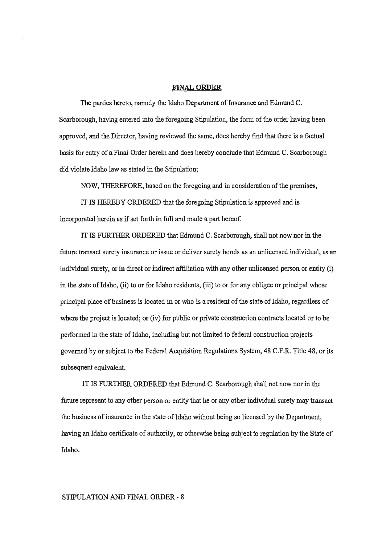#### FINAL ORDER

The parties hereto, namely the Idaho Department of Insurance and Edmund C. Scarborough, having entered into the foregoing Stipulation, the form of the order having been approved, and the Director, having reviewed the same, does hereby find that there is a factual basis for entry of a Final Order herein and does hereby conclude that Edmund C. Scarborough did violate Idaho law as stated in the Stipulation;

NOW, THEREFORE, based on the foregoing and in consideration of the premises,

IT IS HEREBY ORDERED that the foregoing Stipulation is approved and is incorporated herein as if set forth in full and made a part hereof.

IT IS FURTHER ORDERED that Edmund C. Scarborough, shall not now nor in the future transact surety insurance or issue or deliver surety bonds as an unlicensed individual, as an individual surety, or in direct or indirect affiliation with any other unlicensed person or entity (i) in the state ofIdaho, (ii) to or for Idaho residents, (iii) to or for any obligee or principal whose principal place of business is located in or who is a resident of the state of Idaho, regardless of where the project is located; or (iv) for public or private construction contracts located or to be performed in the state of Idaho, including but not limited to federal construction projects governed by or subject to the Federal Acquisition Regulations System, 48 C.F.R. Title 48, or its subsequent equivalent.

IT IS FURTHER ORDERED that Edmund C. Scarborough shall not now nor in the future represent to any other person or entity that he or any other individual surety may transact the business of insumnce in the state ofIdaho without being so licensed by the Department, having an Idaho certificate of authority, or otherwise being subject to regulation by the State of Idaho.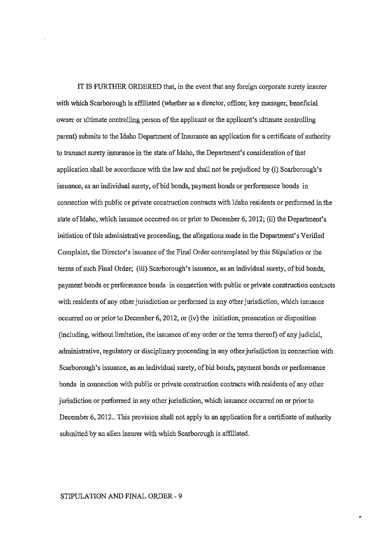IT IS FURTHER ORDERED that, in the event that any foreign corporate surety insurer with which Scarborough is affiliated (whether as a director, officer, key manager, beneficial owner or ultimate controlling person of the applicant or the applicant's ultimate controlling parent) submits to the Idaho Department of Insurance an application for a certificate of authority to transact surety insurance in the state of Idaho, the Department's consideration of that application shall be accordance with the law and shall not be prejudiced by (i) Scarborough's issuance, as an individual surety, of bid bonds, payment bonds or performance bonds in connection with public or private construction contracts with Idaho residents or performed in the state of Idaho, which issuance occurred on or prior to December 6, 2012; (ii) the Department's initiation of this administrative proceeding, the allegations made in the Department's Verified Complaint, the Director's issuance of the Final Order contemplated by this Stipulation or the terms of such Final Order; (iii) Scarborough's issuance, as an individual surety, of bid bonds, payment bonds or performance bonds in connection with public or private construction contracts with residents of any other jurisdiction or performed in any other jurisdiction, which issuance occurred on or prior to December  $6, 2012$ , or (iv) the initiation, prosecution or disposition (including, without limitation, the issuance of any order or the terms thereof) of any judicial, administrative, regulatory or disciplinary proceeding in any other jurisdiction in connection with Scarborough's issuance, as an individual surety, of bid bonds, payment bonds or performance bonds in connection with public or private construction contracts with residents of any other jurisdiction or performed in any other jurisdiction, which issuance occurred on or prior to December 6, 2012.. This provision shall not apply to an application for a certificate of authority submitted by an alien insurer with which Scarborough is affiliated.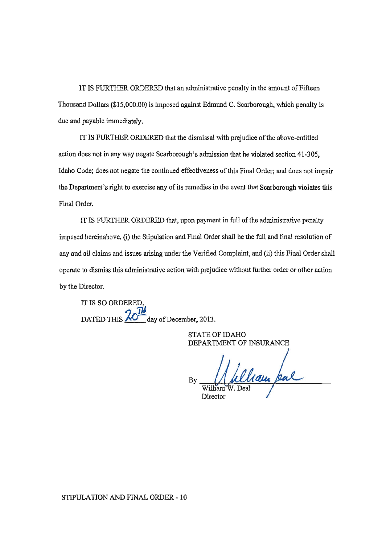IT IS FURTHER ORDERED that an administrative penalty in the amount of Fifteen Thousand Dollars (\$15,000.00) is imposed against Edmund C. Scarborough, which penalty is due and payable immediately.

IT IS FURTHER ORDERED that the dismissal with prejudice of the above-entitled action does not in any way negate Scarborough's admission that he violated section 41-305, Idaho Code; does not negate the continued effectiveness of this Final Order; and does not impair the Department's right to exercise any of its remedies in the event that Scarborough violates this Final Order.

IT IS FURTHER ORDERED that, upon payment in full of the administrative penalty imposed hereinabove, (i) the Stipulation and Final Order shall be the full and fmal resolution of any and all claims and issues arising under the Verified Complaint, and (ii) this Final Order shall operate to dismiss this administrative action with prejudice without further order or other action by the Director.

IT IS SO ORDERE DATED THIS  $\frac{70}{10}$  day of December, 2013.

> STATE OF IDAHO DEPARTMENT OF INSURANCE

Welliam pul Director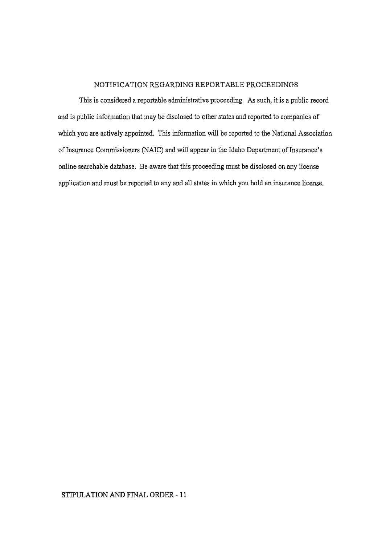# NOTIFICATION REGARDING REPORTABLE PROCEEDINGS

This is considered a reportable administrative proceeding. As such, it is a public record and is public information that may be disclosed to other states and reported to companies of which you are actively appointed. This information will be reported to the National Association of Insurance Commissioners (NAIC) and will appear in the Idaho Department of Insurance's online searchable database. Be aware that this proceeding must be disclosed on any license application and must be reported to any and all states in which you hold an insurance license.